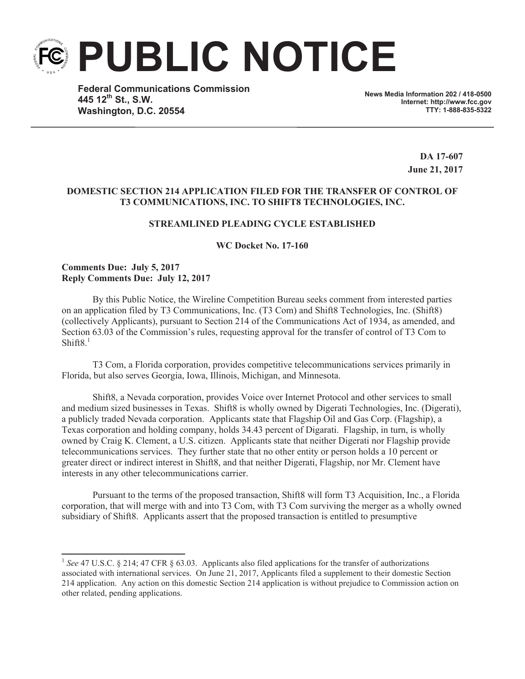**PUBLIC NOTICE**

**Federal Communications Commission 445 12th St., S.W. Washington, D.C. 20554**

**News Media Information 202 / 418-0500 Internet: http://www.fcc.gov TTY: 1-888-835-5322**

> **DA 17-607 June 21, 2017**

## **DOMESTIC SECTION 214 APPLICATION FILED FOR THE TRANSFER OF CONTROL OF T3 COMMUNICATIONS, INC. TO SHIFT8 TECHNOLOGIES, INC.**

## **STREAMLINED PLEADING CYCLE ESTABLISHED**

**WC Docket No. 17-160**

**Comments Due: July 5, 2017 Reply Comments Due: July 12, 2017**

By this Public Notice, the Wireline Competition Bureau seeks comment from interested parties on an application filed by T3 Communications, Inc. (T3 Com) and Shift8 Technologies, Inc. (Shift8) (collectively Applicants), pursuant to Section 214 of the Communications Act of 1934, as amended, and Section 63.03 of the Commission's rules, requesting approval for the transfer of control of T3 Com to Shift $8<sup>1</sup>$ 

T3 Com, a Florida corporation, provides competitive telecommunications services primarily in Florida, but also serves Georgia, Iowa, Illinois, Michigan, and Minnesota.

Shift8, a Nevada corporation, provides Voice over Internet Protocol and other services to small and medium sized businesses in Texas. Shift8 is wholly owned by Digerati Technologies, Inc. (Digerati), a publicly traded Nevada corporation. Applicants state that Flagship Oil and Gas Corp. (Flagship), a Texas corporation and holding company, holds 34.43 percent of Digarati. Flagship, in turn, is wholly owned by Craig K. Clement, a U.S. citizen. Applicants state that neither Digerati nor Flagship provide telecommunications services. They further state that no other entity or person holds a 10 percent or greater direct or indirect interest in Shift8, and that neither Digerati, Flagship, nor Mr. Clement have interests in any other telecommunications carrier.

Pursuant to the terms of the proposed transaction, Shift8 will form T3 Acquisition, Inc., a Florida corporation, that will merge with and into T3 Com, with T3 Com surviving the merger as a wholly owned subsidiary of Shift8. Applicants assert that the proposed transaction is entitled to presumptive

<sup>&</sup>lt;sup>1</sup> See 47 U.S.C. § 214; 47 CFR § 63.03. Applicants also filed applications for the transfer of authorizations associated with international services. On June 21, 2017, Applicants filed a supplement to their domestic Section 214 application. Any action on this domestic Section 214 application is without prejudice to Commission action on other related, pending applications.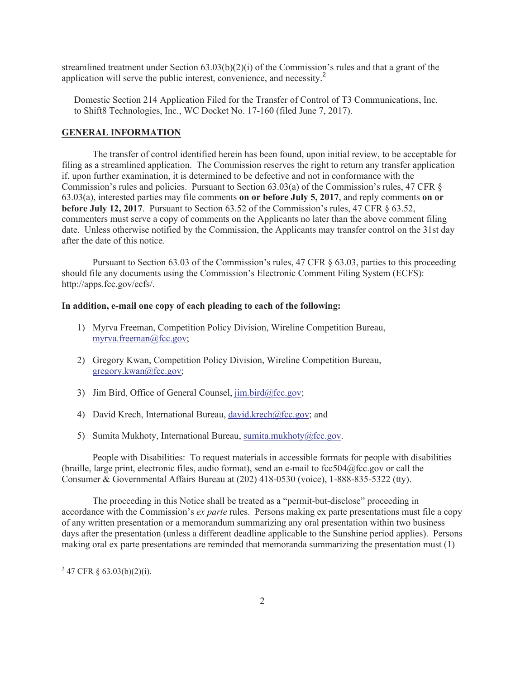streamlined treatment under Section 63.03(b)(2)(i) of the Commission's rules and that a grant of the application will serve the public interest, convenience, and necessity.<sup>2</sup>

Domestic Section 214 Application Filed for the Transfer of Control of T3 Communications, Inc. to Shift8 Technologies, Inc., WC Docket No. 17-160 (filed June 7, 2017).

## **GENERAL INFORMATION**

The transfer of control identified herein has been found, upon initial review, to be acceptable for filing as a streamlined application. The Commission reserves the right to return any transfer application if, upon further examination, it is determined to be defective and not in conformance with the Commission's rules and policies. Pursuant to Section 63.03(a) of the Commission's rules, 47 CFR § 63.03(a), interested parties may file comments **on or before July 5, 2017**, and reply comments **on or before July 12, 2017**. Pursuant to Section 63.52 of the Commission's rules, 47 CFR  $\S$  63.52, commenters must serve a copy of comments on the Applicants no later than the above comment filing date. Unless otherwise notified by the Commission, the Applicants may transfer control on the 31st day after the date of this notice.

Pursuant to Section 63.03 of the Commission's rules, 47 CFR § 63.03, parties to this proceeding should file any documents using the Commission's Electronic Comment Filing System (ECFS): http://apps.fcc.gov/ecfs/.

## **In addition, e-mail one copy of each pleading to each of the following:**

- 1) Myrva Freeman, Competition Policy Division, Wireline Competition Bureau, myrva.freeman@fcc.gov;
- 2) Gregory Kwan, Competition Policy Division, Wireline Competition Bureau, gregory.kwan@fcc.gov;
- 3) Jim Bird, Office of General Counsel, jim.bird@fcc.gov;
- 4) David Krech, International Bureau, david.krech@fcc.gov; and
- 5) Sumita Mukhoty, International Bureau, sumita.mukhoty@fcc.gov.

People with Disabilities: To request materials in accessible formats for people with disabilities (braille, large print, electronic files, audio format), send an e-mail to fcc504@fcc.gov or call the Consumer & Governmental Affairs Bureau at (202) 418-0530 (voice), 1-888-835-5322 (tty).

The proceeding in this Notice shall be treated as a "permit-but-disclose" proceeding in accordance with the Commission's *ex parte* rules. Persons making ex parte presentations must file a copy of any written presentation or a memorandum summarizing any oral presentation within two business days after the presentation (unless a different deadline applicable to the Sunshine period applies). Persons making oral ex parte presentations are reminded that memoranda summarizing the presentation must (1)

 $2^{2}$  47 CFR § 63.03(b)(2)(i).